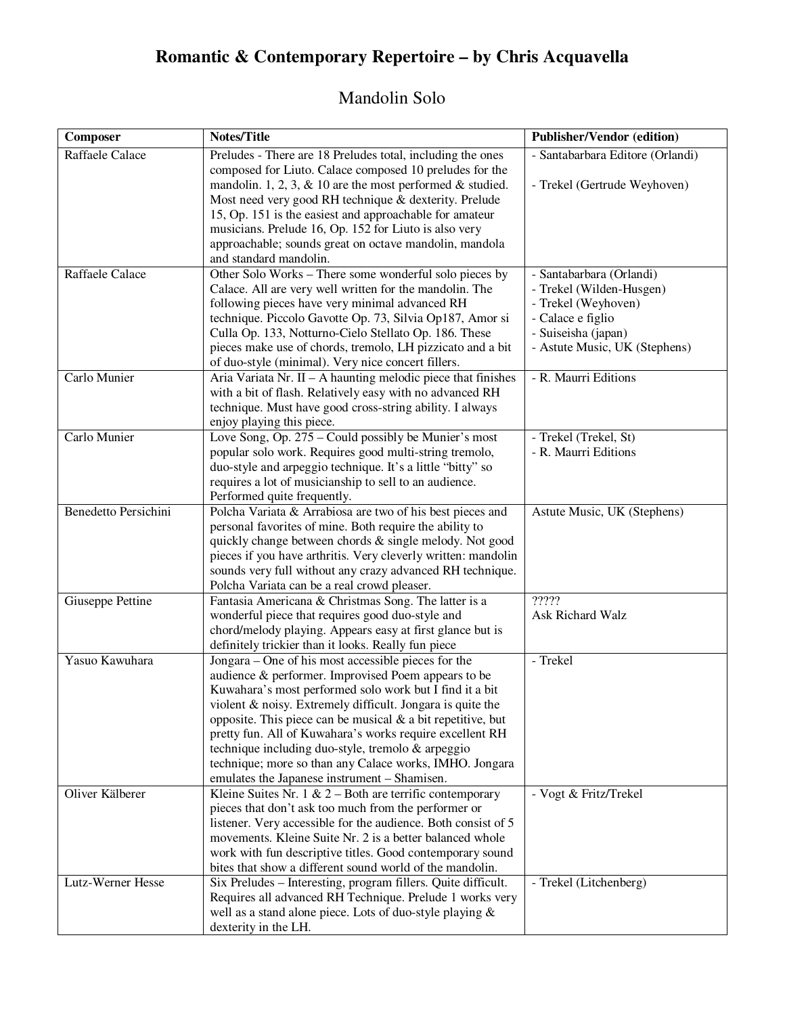# **Romantic & Contemporary Repertoire – by Chris Acquavella**

## Mandolin Solo

| Composer                    | <b>Notes/Title</b>                                                                                        | <b>Publisher/Vendor (edition)</b>        |
|-----------------------------|-----------------------------------------------------------------------------------------------------------|------------------------------------------|
| Raffaele Calace             | Preludes - There are 18 Preludes total, including the ones                                                | - Santabarbara Editore (Orlandi)         |
|                             | composed for Liuto. Calace composed 10 preludes for the                                                   |                                          |
|                             | mandolin. 1, 2, 3, $\&$ 10 are the most performed $\&$ studied.                                           | - Trekel (Gertrude Weyhoven)             |
|                             | Most need very good RH technique & dexterity. Prelude                                                     |                                          |
|                             | 15, Op. 151 is the easiest and approachable for amateur                                                   |                                          |
|                             | musicians. Prelude 16, Op. 152 for Liuto is also very                                                     |                                          |
|                             | approachable; sounds great on octave mandolin, mandola                                                    |                                          |
|                             | and standard mandolin.                                                                                    |                                          |
| Raffaele Calace             | Other Solo Works – There some wonderful solo pieces by                                                    | - Santabarbara (Orlandi)                 |
|                             | Calace. All are very well written for the mandolin. The<br>following pieces have very minimal advanced RH | - Trekel (Wilden-Husgen)                 |
|                             | technique. Piccolo Gavotte Op. 73, Silvia Op187, Amor si                                                  | - Trekel (Weyhoven)<br>- Calace e figlio |
|                             | Culla Op. 133, Notturno-Cielo Stellato Op. 186. These                                                     | - Suiseisha (japan)                      |
|                             | pieces make use of chords, tremolo, LH pizzicato and a bit                                                | - Astute Music, UK (Stephens)            |
|                             | of duo-style (minimal). Very nice concert fillers.                                                        |                                          |
| Carlo Munier                | Aria Variata Nr. $II - A$ haunting melodic piece that finishes                                            | - R. Maurri Editions                     |
|                             | with a bit of flash. Relatively easy with no advanced RH                                                  |                                          |
|                             | technique. Must have good cross-string ability. I always                                                  |                                          |
|                             | enjoy playing this piece.                                                                                 |                                          |
| Carlo Munier                | Love Song, Op. 275 – Could possibly be Munier's most                                                      | - Trekel (Trekel, St)                    |
|                             | popular solo work. Requires good multi-string tremolo,                                                    | - R. Maurri Editions                     |
|                             | duo-style and arpeggio technique. It's a little "bitty" so                                                |                                          |
|                             | requires a lot of musicianship to sell to an audience.                                                    |                                          |
|                             | Performed quite frequently.                                                                               |                                          |
| <b>Benedetto Persichini</b> | Polcha Variata & Arrabiosa are two of his best pieces and                                                 | Astute Music, UK (Stephens)              |
|                             | personal favorites of mine. Both require the ability to                                                   |                                          |
|                             | quickly change between chords & single melody. Not good                                                   |                                          |
|                             | pieces if you have arthritis. Very cleverly written: mandolin                                             |                                          |
|                             | sounds very full without any crazy advanced RH technique.                                                 |                                          |
| Giuseppe Pettine            | Polcha Variata can be a real crowd pleaser.<br>Fantasia Americana & Christmas Song. The latter is a       | ?????                                    |
|                             | wonderful piece that requires good duo-style and                                                          | Ask Richard Walz                         |
|                             | chord/melody playing. Appears easy at first glance but is                                                 |                                          |
|                             | definitely trickier than it looks. Really fun piece                                                       |                                          |
| Yasuo Kawuhara              | Jongara – One of his most accessible pieces for the                                                       | - Trekel                                 |
|                             | audience & performer. Improvised Poem appears to be                                                       |                                          |
|                             | Kuwahara's most performed solo work but I find it a bit                                                   |                                          |
|                             | violent & noisy. Extremely difficult. Jongara is quite the                                                |                                          |
|                             | opposite. This piece can be musical $\&$ a bit repetitive, but                                            |                                          |
|                             | pretty fun. All of Kuwahara's works require excellent RH                                                  |                                          |
|                             | technique including duo-style, tremolo & arpeggio                                                         |                                          |
|                             | technique; more so than any Calace works, IMHO. Jongara                                                   |                                          |
|                             | emulates the Japanese instrument - Shamisen.                                                              |                                          |
| Oliver Kälberer             | Kleine Suites Nr. 1 & $2 -$ Both are terrific contemporary                                                | - Vogt & Fritz/Trekel                    |
|                             | pieces that don't ask too much from the performer or                                                      |                                          |
|                             | listener. Very accessible for the audience. Both consist of 5                                             |                                          |
|                             | movements. Kleine Suite Nr. 2 is a better balanced whole                                                  |                                          |
|                             | work with fun descriptive titles. Good contemporary sound                                                 |                                          |
|                             | bites that show a different sound world of the mandolin.                                                  |                                          |
| Lutz-Werner Hesse           | Six Preludes - Interesting, program fillers. Quite difficult.                                             | - Trekel (Litchenberg)                   |
|                             | Requires all advanced RH Technique. Prelude 1 works very                                                  |                                          |
|                             | well as a stand alone piece. Lots of duo-style playing &                                                  |                                          |
|                             | dexterity in the LH.                                                                                      |                                          |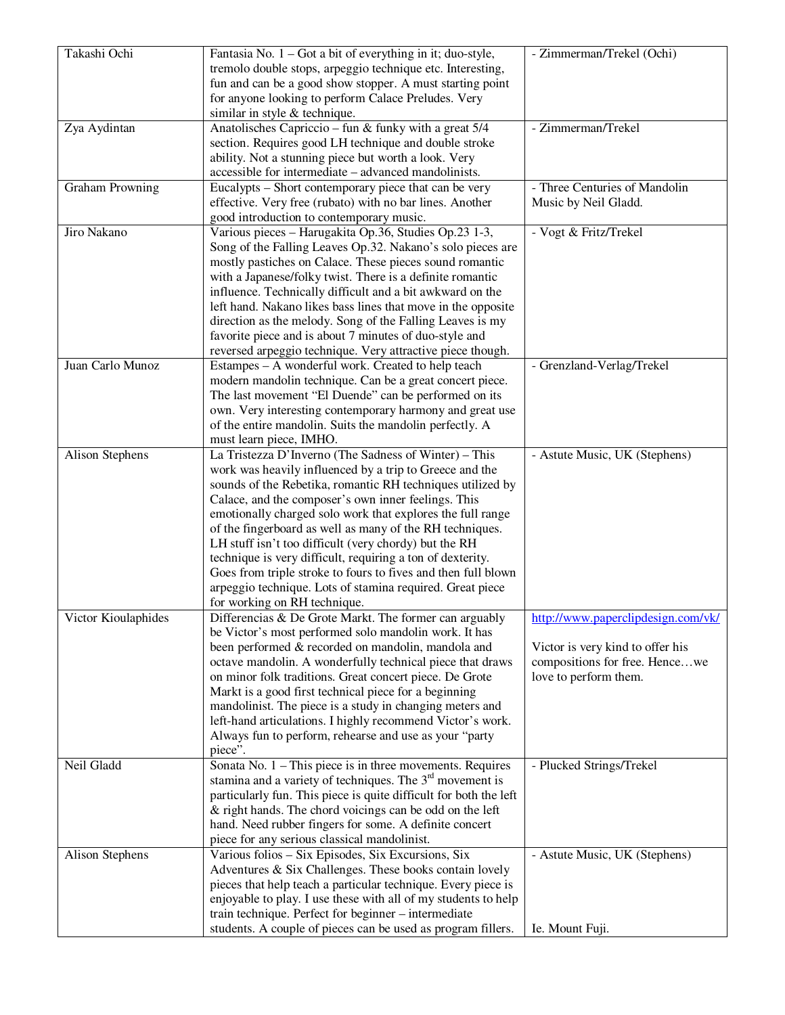| Takashi Ochi           | Fantasia No. $1 -$ Got a bit of everything in it; duo-style,<br>tremolo double stops, arpeggio technique etc. Interesting,<br>fun and can be a good show stopper. A must starting point<br>for anyone looking to perform Calace Preludes. Very                                                                                                                                                                                                                                                                                                                                                                                                       | - Zimmerman/Trekel (Ochi)                                                                                                         |
|------------------------|------------------------------------------------------------------------------------------------------------------------------------------------------------------------------------------------------------------------------------------------------------------------------------------------------------------------------------------------------------------------------------------------------------------------------------------------------------------------------------------------------------------------------------------------------------------------------------------------------------------------------------------------------|-----------------------------------------------------------------------------------------------------------------------------------|
| Zya Aydintan           | similar in style $&$ technique.<br>Anatolisches Capriccio - fun & funky with a great $5/4$<br>section. Requires good LH technique and double stroke<br>ability. Not a stunning piece but worth a look. Very<br>accessible for intermediate – advanced mandolinists.                                                                                                                                                                                                                                                                                                                                                                                  | - Zimmerman/Trekel                                                                                                                |
| <b>Graham Prowning</b> | Eucalypts – Short contemporary piece that can be very<br>effective. Very free (rubato) with no bar lines. Another<br>good introduction to contemporary music.                                                                                                                                                                                                                                                                                                                                                                                                                                                                                        | - Three Centuries of Mandolin<br>Music by Neil Gladd.                                                                             |
| Jiro Nakano            | Various pieces - Harugakita Op.36, Studies Op.23 1-3,<br>Song of the Falling Leaves Op.32. Nakano's solo pieces are<br>mostly pastiches on Calace. These pieces sound romantic<br>with a Japanese/folky twist. There is a definite romantic<br>influence. Technically difficult and a bit awkward on the<br>left hand. Nakano likes bass lines that move in the opposite<br>direction as the melody. Song of the Falling Leaves is my<br>favorite piece and is about 7 minutes of duo-style and<br>reversed arpeggio technique. Very attractive piece though.                                                                                        | - Vogt & Fritz/Trekel                                                                                                             |
| Juan Carlo Munoz       | Estampes - A wonderful work. Created to help teach<br>modern mandolin technique. Can be a great concert piece.<br>The last movement "El Duende" can be performed on its<br>own. Very interesting contemporary harmony and great use<br>of the entire mandolin. Suits the mandolin perfectly. A<br>must learn piece, IMHO.                                                                                                                                                                                                                                                                                                                            | - Grenzland-Verlag/Trekel                                                                                                         |
| Alison Stephens        | La Tristezza D'Inverno (The Sadness of Winter) - This<br>work was heavily influenced by a trip to Greece and the<br>sounds of the Rebetika, romantic RH techniques utilized by<br>Calace, and the composer's own inner feelings. This<br>emotionally charged solo work that explores the full range<br>of the fingerboard as well as many of the RH techniques.<br>LH stuff isn't too difficult (very chordy) but the RH<br>technique is very difficult, requiring a ton of dexterity.<br>Goes from triple stroke to fours to fives and then full blown<br>arpeggio technique. Lots of stamina required. Great piece<br>for working on RH technique. | - Astute Music, UK (Stephens)                                                                                                     |
| Victor Kioulaphides    | Differencias & De Grote Markt. The former can arguably<br>be Victor's most performed solo mandolin work. It has<br>been performed & recorded on mandolin, mandola and<br>octave mandolin. A wonderfully technical piece that draws<br>on minor folk traditions. Great concert piece. De Grote<br>Markt is a good first technical piece for a beginning<br>mandolinist. The piece is a study in changing meters and<br>left-hand articulations. I highly recommend Victor's work.<br>Always fun to perform, rehearse and use as your "party<br>piece".                                                                                                | http://www.paperclipdesign.com/vk/<br>Victor is very kind to offer his<br>compositions for free. Hencewe<br>love to perform them. |
| Neil Gladd             | Sonata No. $1$ – This piece is in three movements. Requires<br>stamina and a variety of techniques. The $3rd$ movement is<br>particularly fun. This piece is quite difficult for both the left<br>& right hands. The chord voicings can be odd on the left<br>hand. Need rubber fingers for some. A definite concert<br>piece for any serious classical mandolinist.                                                                                                                                                                                                                                                                                 | - Plucked Strings/Trekel                                                                                                          |
| Alison Stephens        | Various folios - Six Episodes, Six Excursions, Six<br>Adventures & Six Challenges. These books contain lovely<br>pieces that help teach a particular technique. Every piece is<br>enjoyable to play. I use these with all of my students to help<br>train technique. Perfect for beginner - intermediate<br>students. A couple of pieces can be used as program fillers.                                                                                                                                                                                                                                                                             | - Astute Music, UK (Stephens)<br>Ie. Mount Fuji.                                                                                  |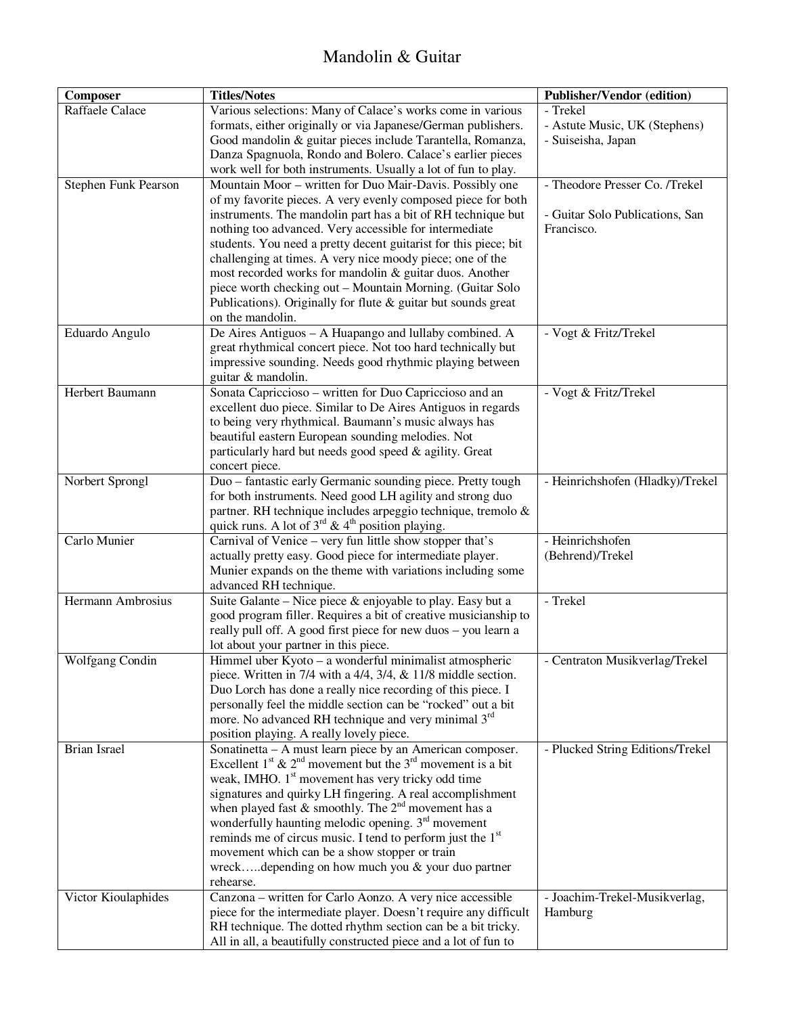### Mandolin & Guitar

| Composer             | <b>Titles/Notes</b>                                                                                                              | <b>Publisher/Vendor (edition)</b> |
|----------------------|----------------------------------------------------------------------------------------------------------------------------------|-----------------------------------|
| Raffaele Calace      | Various selections: Many of Calace's works come in various                                                                       | - Trekel                          |
|                      | formats, either originally or via Japanese/German publishers.                                                                    | - Astute Music, UK (Stephens)     |
|                      | Good mandolin & guitar pieces include Tarantella, Romanza,                                                                       | - Suiseisha, Japan                |
|                      | Danza Spagnuola, Rondo and Bolero. Calace's earlier pieces                                                                       |                                   |
|                      | work well for both instruments. Usually a lot of fun to play.                                                                    |                                   |
| Stephen Funk Pearson | Mountain Moor – written for Duo Mair-Davis. Possibly one                                                                         | - Theodore Presser Co. /Trekel    |
|                      | of my favorite pieces. A very evenly composed piece for both<br>instruments. The mandolin part has a bit of RH technique but     | - Guitar Solo Publications, San   |
|                      | nothing too advanced. Very accessible for intermediate                                                                           | Francisco.                        |
|                      | students. You need a pretty decent guitarist for this piece; bit                                                                 |                                   |
|                      | challenging at times. A very nice moody piece; one of the                                                                        |                                   |
|                      | most recorded works for mandolin & guitar duos. Another                                                                          |                                   |
|                      | piece worth checking out - Mountain Morning. (Guitar Solo                                                                        |                                   |
|                      | Publications). Originally for flute $&$ guitar but sounds great                                                                  |                                   |
|                      | on the mandolin.                                                                                                                 |                                   |
| Eduardo Angulo       | De Aires Antiguos - A Huapango and lullaby combined. A                                                                           | - Vogt & Fritz/Trekel             |
|                      | great rhythmical concert piece. Not too hard technically but                                                                     |                                   |
|                      | impressive sounding. Needs good rhythmic playing between                                                                         |                                   |
| Herbert Baumann      | guitar & mandolin.<br>Sonata Capriccioso - written for Duo Capriccioso and an                                                    | - Vogt & Fritz/Trekel             |
|                      | excellent duo piece. Similar to De Aires Antiguos in regards                                                                     |                                   |
|                      | to being very rhythmical. Baumann's music always has                                                                             |                                   |
|                      | beautiful eastern European sounding melodies. Not                                                                                |                                   |
|                      | particularly hard but needs good speed & agility. Great                                                                          |                                   |
|                      | concert piece.                                                                                                                   |                                   |
| Norbert Sprongl      | Duo - fantastic early Germanic sounding piece. Pretty tough                                                                      | - Heinrichshofen (Hladky)/Trekel  |
|                      | for both instruments. Need good LH agility and strong duo                                                                        |                                   |
|                      | partner. RH technique includes arpeggio technique, tremolo &                                                                     |                                   |
|                      | quick runs. A lot of $3^{rd}$ & 4 <sup>th</sup> position playing.                                                                |                                   |
| Carlo Munier         | Carnival of Venice - very fun little show stopper that's                                                                         | - Heinrichshofen                  |
|                      | actually pretty easy. Good piece for intermediate player.<br>Munier expands on the theme with variations including some          | (Behrend)/Trekel                  |
|                      | advanced RH technique.                                                                                                           |                                   |
| Hermann Ambrosius    | Suite Galante - Nice piece & enjoyable to play. Easy but a                                                                       | - Trekel                          |
|                      | good program filler. Requires a bit of creative musicianship to                                                                  |                                   |
|                      | really pull off. A good first piece for new duos - you learn a                                                                   |                                   |
|                      | lot about your partner in this piece.                                                                                            |                                   |
| Wolfgang Condin      | Himmel uber Kyoto - a wonderful minimalist atmospheric                                                                           | - Centraton Musikverlag/Trekel    |
|                      | piece. Written in 7/4 with a $4/4$ , $3/4$ , $\&$ 11/8 middle section.                                                           |                                   |
|                      | Duo Lorch has done a really nice recording of this piece. I                                                                      |                                   |
|                      | personally feel the middle section can be "rocked" out a bit                                                                     |                                   |
|                      | more. No advanced RH technique and very minimal 3 <sup>rd</sup>                                                                  |                                   |
| Brian Israel         | position playing. A really lovely piece.<br>Sonatinetta – $\overline{A}$ must learn piece by an American composer.               | - Plucked String Editions/Trekel  |
|                      | Excellent $1^{st}$ & $2^{nd}$ movement but the $3^{rd}$ movement is a bit                                                        |                                   |
|                      | weak, IMHO. 1 <sup>st</sup> movement has very tricky odd time                                                                    |                                   |
|                      | signatures and quirky LH fingering. A real accomplishment                                                                        |                                   |
|                      | when played fast & smoothly. The $2^{nd}$ movement has a                                                                         |                                   |
|                      | wonderfully haunting melodic opening. $3rd$ movement                                                                             |                                   |
|                      | reminds me of circus music. I tend to perform just the 1 <sup>st</sup>                                                           |                                   |
|                      | movement which can be a show stopper or train                                                                                    |                                   |
|                      | wreckdepending on how much you & your duo partner                                                                                |                                   |
|                      | rehearse.                                                                                                                        |                                   |
| Victor Kioulaphides  | Canzona - written for Carlo Aonzo. A very nice accessible                                                                        | - Joachim-Trekel-Musikverlag,     |
|                      | piece for the intermediate player. Doesn't require any difficult<br>RH technique. The dotted rhythm section can be a bit tricky. | Hamburg                           |
|                      | All in all, a beautifully constructed piece and a lot of fun to                                                                  |                                   |
|                      |                                                                                                                                  |                                   |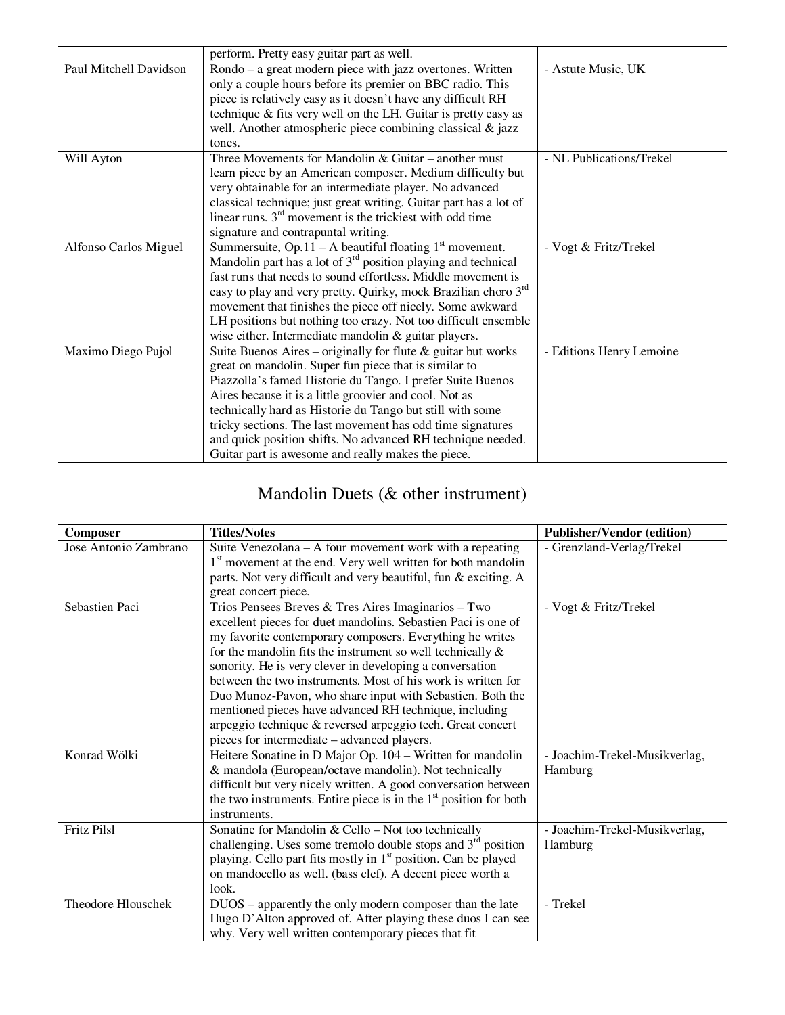|                        | perform. Pretty easy guitar part as well.                                  |                          |
|------------------------|----------------------------------------------------------------------------|--------------------------|
| Paul Mitchell Davidson | Rondo – a great modern piece with jazz overtones. Written                  | - Astute Music, UK       |
|                        | only a couple hours before its premier on BBC radio. This                  |                          |
|                        | piece is relatively easy as it doesn't have any difficult RH               |                          |
|                        | technique & fits very well on the LH. Guitar is pretty easy as             |                          |
|                        | well. Another atmospheric piece combining classical $\&$ jazz              |                          |
|                        | tones.                                                                     |                          |
| Will Ayton             | Three Movements for Mandolin $&$ Guitar – another must                     | - NL Publications/Trekel |
|                        | learn piece by an American composer. Medium difficulty but                 |                          |
|                        | very obtainable for an intermediate player. No advanced                    |                          |
|                        | classical technique; just great writing. Guitar part has a lot of          |                          |
|                        | linear runs. $3rd$ movement is the trickiest with odd time                 |                          |
|                        | signature and contrapuntal writing.                                        |                          |
| Alfonso Carlos Miguel  | Summersuite, $\overline{Op.11 - A}$ beautiful floating $1st$ movement.     | - Vogt & Fritz/Trekel    |
|                        | Mandolin part has a lot of $3rd$ position playing and technical            |                          |
|                        | fast runs that needs to sound effortless. Middle movement is               |                          |
|                        | easy to play and very pretty. Quirky, mock Brazilian choro 3 <sup>rd</sup> |                          |
|                        | movement that finishes the piece off nicely. Some awkward                  |                          |
|                        | LH positions but nothing too crazy. Not too difficult ensemble             |                          |
|                        | wise either. Intermediate mandolin & guitar players.                       |                          |
| Maximo Diego Pujol     | Suite Buenos Aires – originally for flute $\&$ guitar but works            | - Editions Henry Lemoine |
|                        | great on mandolin. Super fun piece that is similar to                      |                          |
|                        | Piazzolla's famed Historie du Tango. I prefer Suite Buenos                 |                          |
|                        | Aires because it is a little groovier and cool. Not as                     |                          |
|                        | technically hard as Historie du Tango but still with some                  |                          |
|                        | tricky sections. The last movement has odd time signatures                 |                          |
|                        | and quick position shifts. No advanced RH technique needed.                |                          |
|                        | Guitar part is awesome and really makes the piece.                         |                          |

## Mandolin Duets (& other instrument)

| <b>Composer</b>       | <b>Titles/Notes</b>                                                        | <b>Publisher/Vendor (edition)</b> |
|-----------------------|----------------------------------------------------------------------------|-----------------------------------|
| Jose Antonio Zambrano | Suite Venezolana – A four movement work with a repeating                   | - Grenzland-Verlag/Trekel         |
|                       | 1 <sup>st</sup> movement at the end. Very well written for both mandolin   |                                   |
|                       | parts. Not very difficult and very beautiful, fun & exciting. A            |                                   |
|                       | great concert piece.                                                       |                                   |
| Sebastien Paci        | Trios Pensees Breves & Tres Aires Imaginarios - Two                        | - Vogt & Fritz/Trekel             |
|                       | excellent pieces for duet mandolins. Sebastien Paci is one of              |                                   |
|                       | my favorite contemporary composers. Everything he writes                   |                                   |
|                       | for the mandolin fits the instrument so well technically $\&$              |                                   |
|                       | sonority. He is very clever in developing a conversation                   |                                   |
|                       | between the two instruments. Most of his work is written for               |                                   |
|                       | Duo Munoz-Pavon, who share input with Sebastien. Both the                  |                                   |
|                       | mentioned pieces have advanced RH technique, including                     |                                   |
|                       | arpeggio technique & reversed arpeggio tech. Great concert                 |                                   |
|                       | pieces for intermediate – advanced players.                                |                                   |
| Konrad Wölki          | Heitere Sonatine in D Major Op. 104 - Written for mandolin                 | - Joachim-Trekel-Musikverlag,     |
|                       | & mandola (European/octave mandolin). Not technically                      | Hamburg                           |
|                       | difficult but very nicely written. A good conversation between             |                                   |
|                       | the two instruments. Entire piece is in the $1st$ position for both        |                                   |
|                       | instruments.                                                               |                                   |
| <b>Fritz Pilsl</b>    | Sonatine for Mandolin & Cello - Not too technically                        | - Joachim-Trekel-Musikverlag,     |
|                       | challenging. Uses some tremolo double stops and $3rd$ position             | Hamburg                           |
|                       | playing. Cello part fits mostly in 1 <sup>st</sup> position. Can be played |                                   |
|                       | on mandocello as well. (bass clef). A decent piece worth a                 |                                   |
|                       | look.                                                                      |                                   |
| Theodore Hlouschek    | DUOS - apparently the only modern composer than the late                   | - Trekel                          |
|                       | Hugo D'Alton approved of. After playing these duos I can see               |                                   |
|                       | why. Very well written contemporary pieces that fit                        |                                   |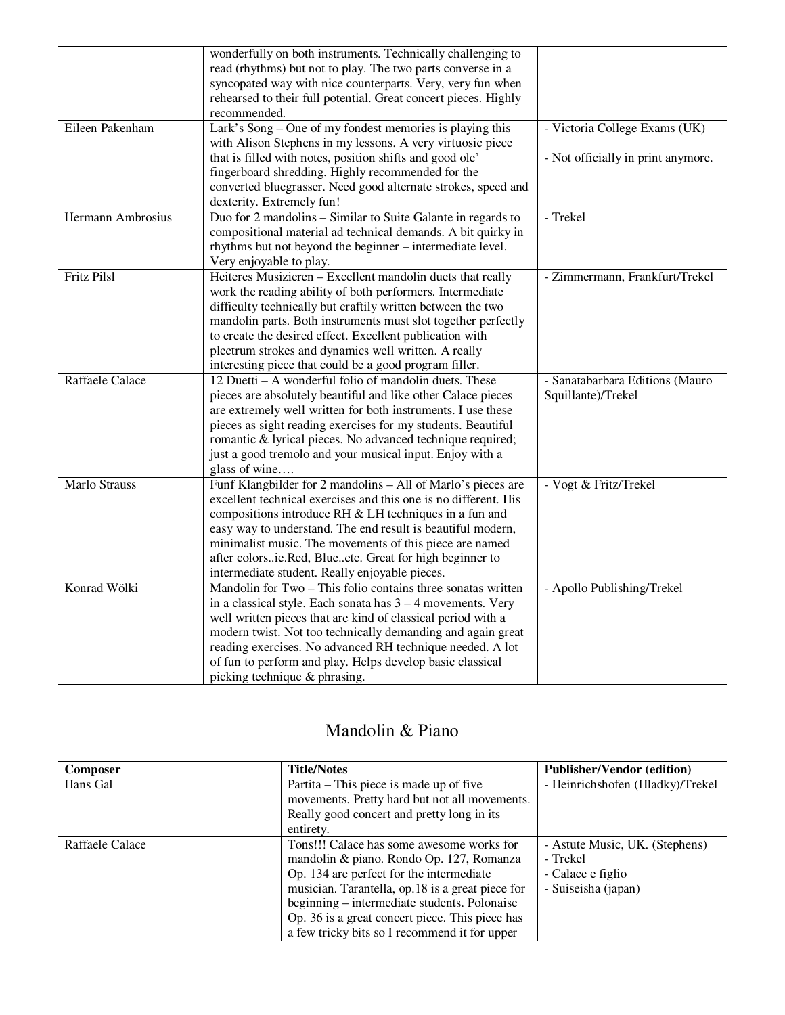|                    | wonderfully on both instruments. Technically challenging to     |                                    |
|--------------------|-----------------------------------------------------------------|------------------------------------|
|                    | read (rhythms) but not to play. The two parts converse in a     |                                    |
|                    | syncopated way with nice counterparts. Very, very fun when      |                                    |
|                    | rehearsed to their full potential. Great concert pieces. Highly |                                    |
|                    | recommended.                                                    |                                    |
| Eileen Pakenham    | Lark's Song – One of my fondest memories is playing this        | - Victoria College Exams (UK)      |
|                    | with Alison Stephens in my lessons. A very virtuosic piece      |                                    |
|                    | that is filled with notes, position shifts and good ole'        | - Not officially in print anymore. |
|                    | fingerboard shredding. Highly recommended for the               |                                    |
|                    | converted bluegrasser. Need good alternate strokes, speed and   |                                    |
|                    | dexterity. Extremely fun!                                       |                                    |
| Hermann Ambrosius  | Duo for 2 mandolins - Similar to Suite Galante in regards to    | - Trekel                           |
|                    | compositional material ad technical demands. A bit quirky in    |                                    |
|                    | rhythms but not beyond the beginner - intermediate level.       |                                    |
|                    | Very enjoyable to play.                                         |                                    |
| <b>Fritz Pilsl</b> | Heiteres Musizieren - Excellent mandolin duets that really      | - Zimmermann, Frankfurt/Trekel     |
|                    | work the reading ability of both performers. Intermediate       |                                    |
|                    | difficulty technically but craftily written between the two     |                                    |
|                    | mandolin parts. Both instruments must slot together perfectly   |                                    |
|                    | to create the desired effect. Excellent publication with        |                                    |
|                    | plectrum strokes and dynamics well written. A really            |                                    |
|                    | interesting piece that could be a good program filler.          |                                    |
| Raffaele Calace    | 12 Duetti – A wonderful folio of mandolin duets. These          | - Sanatabarbara Editions (Mauro    |
|                    | pieces are absolutely beautiful and like other Calace pieces    | Squillante)/Trekel                 |
|                    | are extremely well written for both instruments. I use these    |                                    |
|                    | pieces as sight reading exercises for my students. Beautiful    |                                    |
|                    | romantic & lyrical pieces. No advanced technique required;      |                                    |
|                    | just a good tremolo and your musical input. Enjoy with a        |                                    |
|                    | glass of wine                                                   |                                    |
| Marlo Strauss      | Funf Klangbilder for 2 mandolins - All of Marlo's pieces are    | - Vogt & Fritz/Trekel              |
|                    | excellent technical exercises and this one is no different. His |                                    |
|                    | compositions introduce RH & LH techniques in a fun and          |                                    |
|                    | easy way to understand. The end result is beautiful modern,     |                                    |
|                    | minimalist music. The movements of this piece are named         |                                    |
|                    | after colorsie.Red, Blueetc. Great for high beginner to         |                                    |
|                    | intermediate student. Really enjoyable pieces.                  |                                    |
| Konrad Wölki       | Mandolin for Two - This folio contains three sonatas written    | - Apollo Publishing/Trekel         |
|                    | in a classical style. Each sonata has $3 - 4$ movements. Very   |                                    |
|                    | well written pieces that are kind of classical period with a    |                                    |
|                    | modern twist. Not too technically demanding and again great     |                                    |
|                    | reading exercises. No advanced RH technique needed. A lot       |                                    |
|                    | of fun to perform and play. Helps develop basic classical       |                                    |
|                    | picking technique & phrasing.                                   |                                    |

#### Mandolin & Piano

| <b>Composer</b> | <b>Title/Notes</b>                               | <b>Publisher/Vendor (edition)</b> |
|-----------------|--------------------------------------------------|-----------------------------------|
| Hans Gal        | Partita – This piece is made up of five          | - Heinrichshofen (Hladky)/Trekel  |
|                 | movements. Pretty hard but not all movements.    |                                   |
|                 | Really good concert and pretty long in its       |                                   |
|                 | entirety.                                        |                                   |
| Raffaele Calace | Tons!!! Calace has some awesome works for        | - Astute Music, UK. (Stephens)    |
|                 | mandolin & piano. Rondo Op. 127, Romanza         | - Trekel                          |
|                 | Op. 134 are perfect for the intermediate         | - Calace e figlio                 |
|                 | musician. Tarantella, op.18 is a great piece for | - Suiseisha (japan)               |
|                 | beginning – intermediate students. Polonaise     |                                   |
|                 | Op. 36 is a great concert piece. This piece has  |                                   |
|                 | a few tricky bits so I recommend it for upper    |                                   |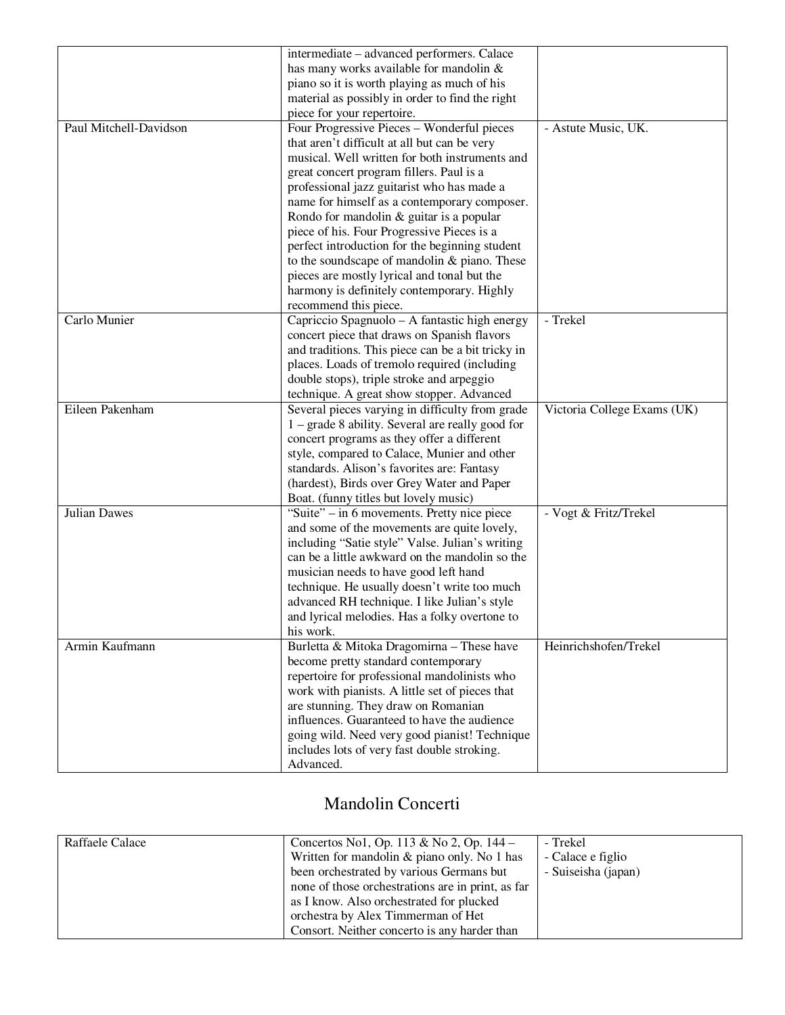|                        | intermediate – advanced performers. Calace                                                        |                             |
|------------------------|---------------------------------------------------------------------------------------------------|-----------------------------|
|                        | has many works available for mandolin &                                                           |                             |
|                        | piano so it is worth playing as much of his                                                       |                             |
|                        | material as possibly in order to find the right                                                   |                             |
|                        | piece for your repertoire.                                                                        |                             |
| Paul Mitchell-Davidson | Four Progressive Pieces – Wonderful pieces                                                        |                             |
|                        |                                                                                                   | - Astute Music, UK.         |
|                        | that aren't difficult at all but can be very                                                      |                             |
|                        | musical. Well written for both instruments and                                                    |                             |
|                        | great concert program fillers. Paul is a                                                          |                             |
|                        | professional jazz guitarist who has made a                                                        |                             |
|                        | name for himself as a contemporary composer.                                                      |                             |
|                        | Rondo for mandolin & guitar is a popular                                                          |                             |
|                        | piece of his. Four Progressive Pieces is a                                                        |                             |
|                        | perfect introduction for the beginning student                                                    |                             |
|                        | to the soundscape of mandolin & piano. These                                                      |                             |
|                        | pieces are mostly lyrical and tonal but the                                                       |                             |
|                        | harmony is definitely contemporary. Highly                                                        |                             |
|                        | recommend this piece.                                                                             |                             |
| Carlo Munier           | Capriccio Spagnuolo - A fantastic high energy                                                     | - Trekel                    |
|                        | concert piece that draws on Spanish flavors                                                       |                             |
|                        | and traditions. This piece can be a bit tricky in                                                 |                             |
|                        | places. Loads of tremolo required (including                                                      |                             |
|                        | double stops), triple stroke and arpeggio                                                         |                             |
|                        | technique. A great show stopper. Advanced                                                         |                             |
| Eileen Pakenham        | Several pieces varying in difficulty from grade                                                   | Victoria College Exams (UK) |
|                        | $1 -$ grade 8 ability. Several are really good for                                                |                             |
|                        | concert programs as they offer a different                                                        |                             |
|                        | style, compared to Calace, Munier and other                                                       |                             |
|                        | standards. Alison's favorites are: Fantasy                                                        |                             |
|                        | (hardest), Birds over Grey Water and Paper                                                        |                             |
|                        | Boat. (funny titles but lovely music)                                                             |                             |
| Julian Dawes           | "Suite" – in 6 movements. Pretty nice piece                                                       | - Vogt & Fritz/Trekel       |
|                        |                                                                                                   |                             |
|                        | and some of the movements are quite lovely,                                                       |                             |
|                        | including "Satie style" Valse. Julian's writing<br>can be a little awkward on the mandolin so the |                             |
|                        |                                                                                                   |                             |
|                        | musician needs to have good left hand                                                             |                             |
|                        | technique. He usually doesn't write too much                                                      |                             |
|                        | advanced RH technique. I like Julian's style                                                      |                             |
|                        | and lyrical melodies. Has a folky overtone to                                                     |                             |
|                        | his work.                                                                                         |                             |
| Armin Kaufmann         | Burletta & Mitoka Dragomirna - These have                                                         | Heinrichshofen/Trekel       |
|                        | become pretty standard contemporary                                                               |                             |
|                        | repertoire for professional mandolinists who                                                      |                             |
|                        | work with pianists. A little set of pieces that                                                   |                             |
|                        | are stunning. They draw on Romanian                                                               |                             |
|                        | influences. Guaranteed to have the audience                                                       |                             |
|                        | going wild. Need very good pianist! Technique                                                     |                             |
|                        | includes lots of very fast double stroking.                                                       |                             |
|                        | Advanced.                                                                                         |                             |

#### Mandolin Concerti

| Raffaele Calace | Concertos No1, Op. 113 & No 2, Op. 144 –          | - Trekel            |
|-----------------|---------------------------------------------------|---------------------|
|                 | Written for mandolin & piano only. No 1 has       | - Calace e figlio   |
|                 | been orchestrated by various Germans but          | - Suiseisha (japan) |
|                 | none of those orchestrations are in print, as far |                     |
|                 | as I know. Also orchestrated for plucked          |                     |
|                 | orchestra by Alex Timmerman of Het                |                     |
|                 | Consort. Neither concerto is any harder than      |                     |